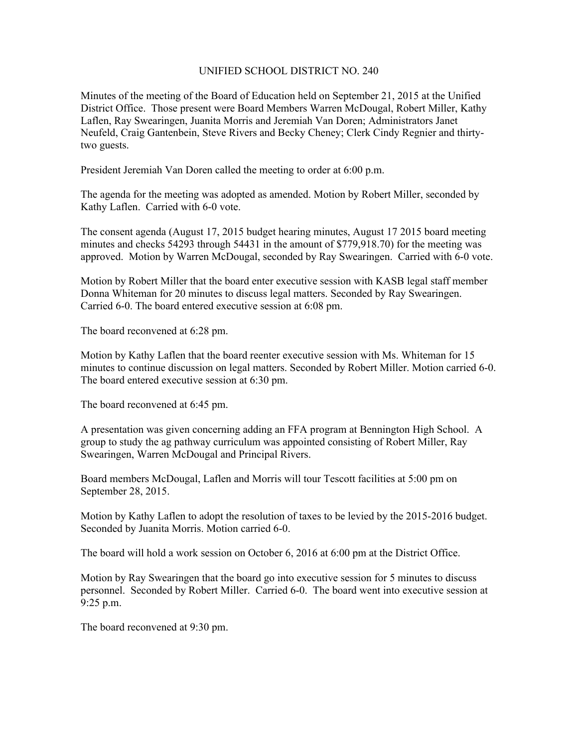## UNIFIED SCHOOL DISTRICT NO. 240

Minutes of the meeting of the Board of Education held on September 21, 2015 at the Unified District Office. Those present were Board Members Warren McDougal, Robert Miller, Kathy Laflen, Ray Swearingen, Juanita Morris and Jeremiah Van Doren; Administrators Janet Neufeld, Craig Gantenbein, Steve Rivers and Becky Cheney; Clerk Cindy Regnier and thirtytwo guests.

President Jeremiah Van Doren called the meeting to order at 6:00 p.m.

The agenda for the meeting was adopted as amended. Motion by Robert Miller, seconded by Kathy Laflen. Carried with 6-0 vote.

The consent agenda (August 17, 2015 budget hearing minutes, August 17 2015 board meeting minutes and checks 54293 through 54431 in the amount of \$779,918.70) for the meeting was approved. Motion by Warren McDougal, seconded by Ray Swearingen. Carried with 6-0 vote.

Motion by Robert Miller that the board enter executive session with KASB legal staff member Donna Whiteman for 20 minutes to discuss legal matters. Seconded by Ray Swearingen. Carried 6-0. The board entered executive session at 6:08 pm.

The board reconvened at 6:28 pm.

Motion by Kathy Laflen that the board reenter executive session with Ms. Whiteman for 15 minutes to continue discussion on legal matters. Seconded by Robert Miller. Motion carried 6-0. The board entered executive session at 6:30 pm.

The board reconvened at 6:45 pm.

A presentation was given concerning adding an FFA program at Bennington High School. A group to study the ag pathway curriculum was appointed consisting of Robert Miller, Ray Swearingen, Warren McDougal and Principal Rivers.

Board members McDougal, Laflen and Morris will tour Tescott facilities at 5:00 pm on September 28, 2015.

Motion by Kathy Laflen to adopt the resolution of taxes to be levied by the 2015-2016 budget. Seconded by Juanita Morris. Motion carried 6-0.

The board will hold a work session on October 6, 2016 at 6:00 pm at the District Office.

Motion by Ray Swearingen that the board go into executive session for 5 minutes to discuss personnel. Seconded by Robert Miller. Carried 6-0. The board went into executive session at 9:25 p.m.

The board reconvened at 9:30 pm.